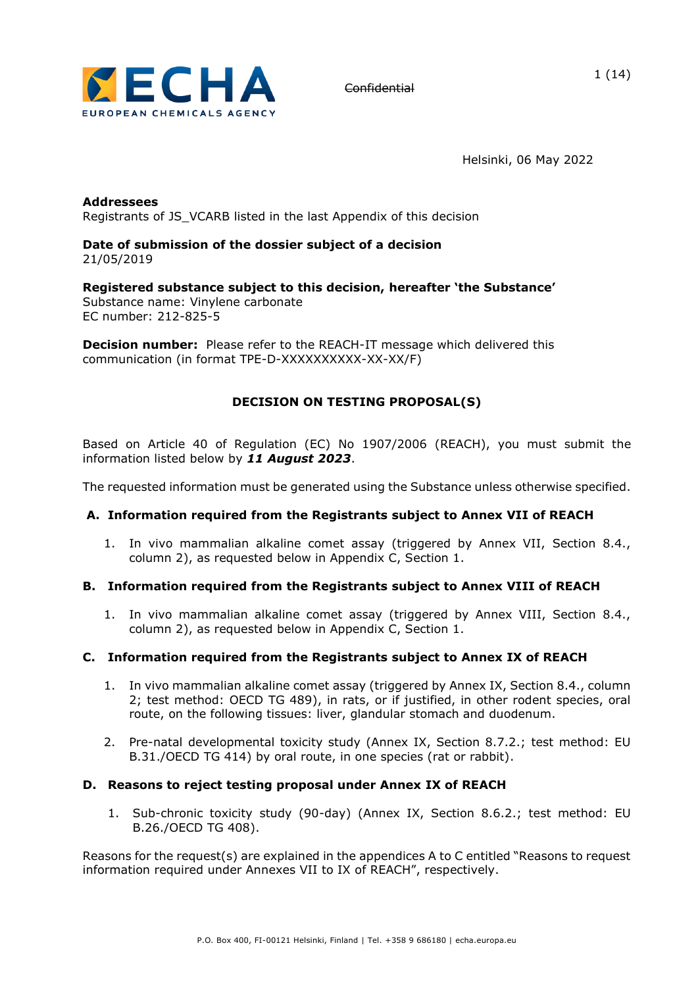

Helsinki, 06 May 2022

**Addressees** Registrants of JS\_VCARB listed in the last Appendix of this decision

### **Date of submission of the dossier subject of a decision**  21/05/2019

**Registered substance subject to this decision, hereafter 'the Substance'** Substance name: Vinylene carbonate EC number: 212-825-5

**Decision number:** Please refer to the REACH-IT message which delivered this communication (in format TPE-D-XXXXXXXXXX-XX-XX/F)

# **DECISION ON TESTING PROPOSAL(S)**

Based on Article 40 of Regulation (EC) No 1907/2006 (REACH), you must submit the information listed below by *11 August 2023*.

The requested information must be generated using the Substance unless otherwise specified.

## **A. Information required from the Registrants subject to Annex VII of REACH**

1. In vivo mammalian alkaline comet assay (triggered by Annex VII, Section 8.4., column 2), as requested below in Appendix C, Section 1.

## **B. Information required from the Registrants subject to Annex VIII of REACH**

1. In vivo mammalian alkaline comet assay (triggered by Annex VIII, Section 8.4., column 2), as requested below in Appendix C, Section 1.

## **C. Information required from the Registrants subject to Annex IX of REACH**

- 1. In vivo mammalian alkaline comet assay (triggered by Annex IX, Section 8.4., column 2; test method: OECD TG 489), in rats, or if justified, in other rodent species, oral route, on the following tissues: liver, glandular stomach and duodenum.
- 2. Pre-natal developmental toxicity study (Annex IX, Section 8.7.2.; test method: EU B.31./OECD TG 414) by oral route, in one species (rat or rabbit).

### **D. Reasons to reject testing proposal under Annex IX of REACH**

1. Sub-chronic toxicity study (90-day) (Annex IX, Section 8.6.2.; test method: EU B.26./OECD TG 408).

Reasons for the request(s) are explained in the appendices A to C entitled "Reasons to request information required under Annexes VII to IX of REACH", respectively.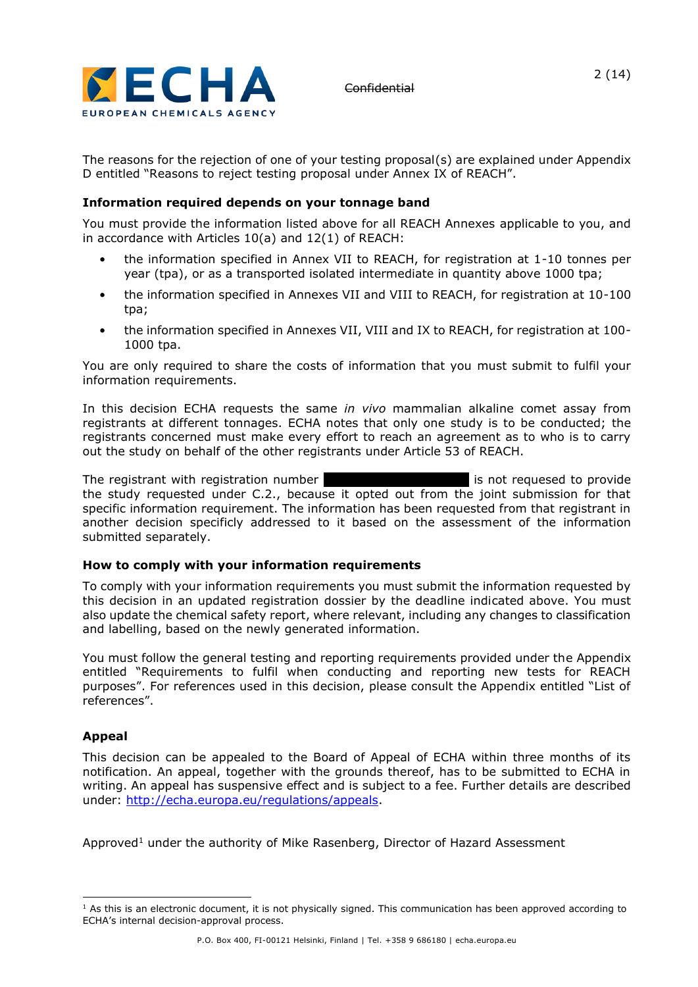

The reasons for the rejection of one of your testing proposal(s) are explained under Appendix D entitled "Reasons to reject testing proposal under Annex IX of REACH".

## **Information required depends on your tonnage band**

You must provide the information listed above for all REACH Annexes applicable to you, and in accordance with Articles 10(a) and 12(1) of REACH:

- the information specified in Annex VII to REACH, for registration at 1-10 tonnes per year (tpa), or as a transported isolated intermediate in quantity above 1000 tpa;
- the information specified in Annexes VII and VIII to REACH, for registration at 10-100 tpa;
- the information specified in Annexes VII, VIII and IX to REACH, for registration at 100- 1000 tpa.

You are only required to share the costs of information that you must submit to fulfil your information requirements.

In this decision ECHA requests the same *in vivo* mammalian alkaline comet assay from registrants at different tonnages. ECHA notes that only one study is to be conducted; the registrants concerned must make every effort to reach an agreement as to who is to carry out the study on behalf of the other registrants under Article 53 of REACH.

The registrant with registration number xxxxxxxxxxxxxxxxxxxxx is not requesed to provide the study requested under C.2., because it opted out from the joint submission for that specific information requirement. The information has been requested from that registrant in another decision specificly addressed to it based on the assessment of the information submitted separately.

### **How to comply with your information requirements**

To comply with your information requirements you must submit the information requested by this decision in an updated registration dossier by the deadline indicated above. You must also update the chemical safety report, where relevant, including any changes to classification and labelling, based on the newly generated information.

You must follow the general testing and reporting requirements provided under the Appendix entitled "Requirements to fulfil when conducting and reporting new tests for REACH purposes". For references used in this decision, please consult the Appendix entitled "List of references".

## **Appeal**

This decision can be appealed to the Board of Appeal of ECHA within three months of its notification. An appeal, together with the grounds thereof, has to be submitted to ECHA in writing. An appeal has suspensive effect and is subject to a fee. Further details are described under: [http://echa.europa.eu/regulations/appeals.](http://echa.europa.eu/regulations/appeals)

Approved<sup>1</sup> under the authority of Mike Rasenberg, Director of Hazard Assessment

 $<sup>1</sup>$  As this is an electronic document, it is not physically signed. This communication has been approved according to</sup> ECHA's internal decision-approval process.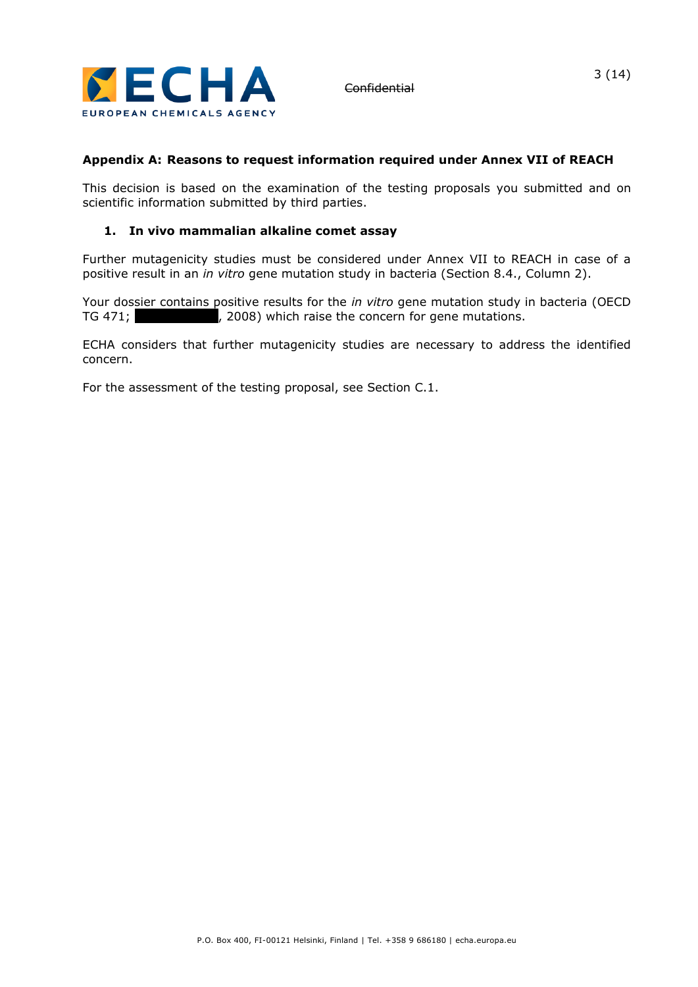

## **Appendix A: Reasons to request information required under Annex VII of REACH**

This decision is based on the examination of the testing proposals you submitted and on scientific information submitted by third parties.

### **1. In vivo mammalian alkaline comet assay**

Further mutagenicity studies must be considered under Annex VII to REACH in case of a positive result in an *in vitro* gene mutation study in bacteria (Section 8.4., Column 2).

Your dossier contains positive results for the *in vitro* gene mutation study in bacteria (OECD TG 471; TG 471; TG 471; TG 471; 2008) which raise the concern for gene mutations.

ECHA considers that further mutagenicity studies are necessary to address the identified concern.

For the assessment of the testing proposal, see Section C.1.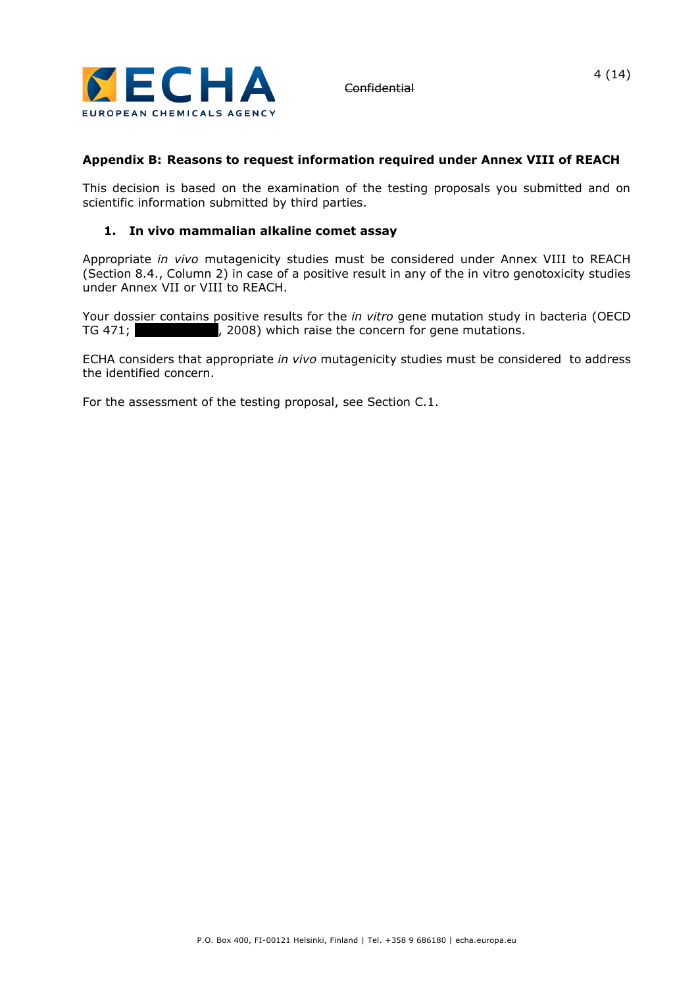

## **Appendix B: Reasons to request information required under Annex VIII of REACH**

This decision is based on the examination of the testing proposals you submitted and on scientific information submitted by third parties.

### **1. In vivo mammalian alkaline comet assay**

Appropriate *in vivo* mutagenicity studies must be considered under Annex VIII to REACH (Section 8.4., Column 2) in case of a positive result in any of the in vitro genotoxicity studies under Annex VII or VIII to REACH.

Your dossier contains positive results for the *in vitro* gene mutation study in bacteria (OECD TG 471; TG 471; TG 471; 2008) which raise the concern for gene mutations.

ECHA considers that appropriate *in vivo* mutagenicity studies must be considered to address the identified concern.

For the assessment of the testing proposal, see Section C.1.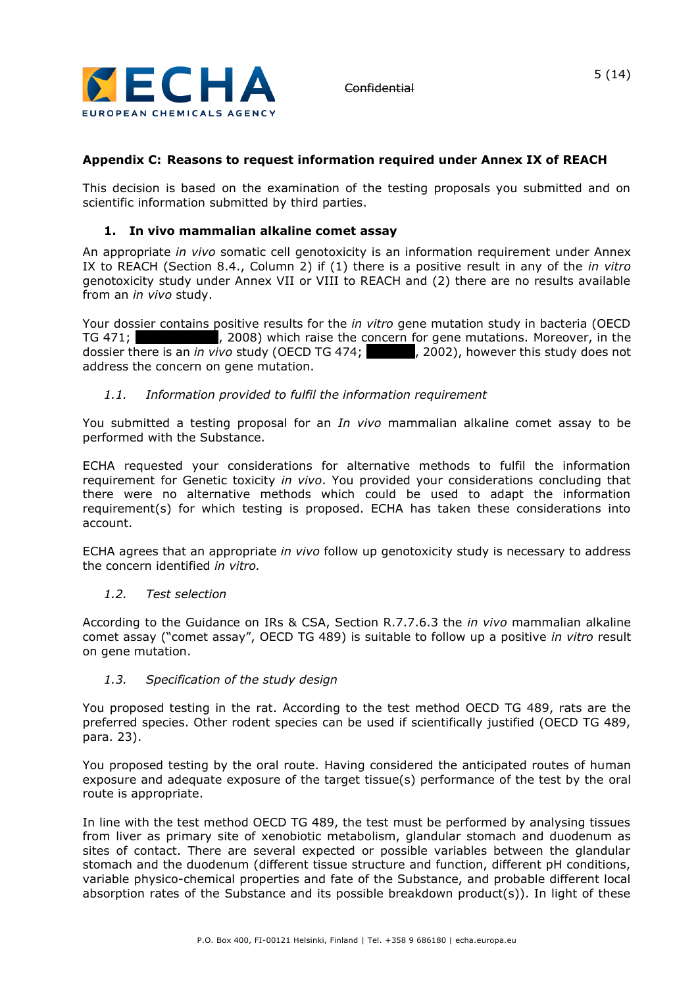

# **Appendix C: Reasons to request information required under Annex IX of REACH**

This decision is based on the examination of the testing proposals you submitted and on scientific information submitted by third parties.

### **1. In vivo mammalian alkaline comet assay**

An appropriate *in vivo* somatic cell genotoxicity is an information requirement under Annex IX to REACH (Section 8.4., Column 2) if (1) there is a positive result in any of the *in vitro* genotoxicity study under Annex VII or VIII to REACH and (2) there are no results available from an *in vivo* study.

Your dossier contains positive results for the *in vitro* gene mutation study in bacteria (OECD TG 471; **THE 1998**) which raise the concern for gene mutations. Moreover, in the , 2008) which raise the concern for gene mutations. Moreover, in the dossier there is an *in vivo* study (OECD TG 474;  $\frac{1}{2002}$ , however this study does not address the concern on gene mutation.

## *1.1. Information provided to fulfil the information requirement*

You submitted a testing proposal for an *In vivo* mammalian alkaline comet assay to be performed with the Substance.

ECHA requested your considerations for alternative methods to fulfil the information requirement for Genetic toxicity *in vivo*. You provided your considerations concluding that there were no alternative methods which could be used to adapt the information requirement(s) for which testing is proposed. ECHA has taken these considerations into account.

ECHA agrees that an appropriate *in vivo* follow up genotoxicity study is necessary to address the concern identified *in vitro.*

### *1.2. Test selection*

According to the Guidance on IRs & CSA, Section R.7.7.6.3 the *in vivo* mammalian alkaline comet assay ("comet assay", OECD TG 489) is suitable to follow up a positive *in vitro* result on gene mutation.

### *1.3. Specification of the study design*

You proposed testing in the rat. According to the test method OECD TG 489, rats are the preferred species. Other rodent species can be used if scientifically justified (OECD TG 489, para. 23).

You proposed testing by the oral route. Having considered the anticipated routes of human exposure and adequate exposure of the target tissue(s) performance of the test by the oral route is appropriate.

In line with the test method OECD TG 489, the test must be performed by analysing tissues from liver as primary site of xenobiotic metabolism, glandular stomach and duodenum as sites of contact. There are several expected or possible variables between the glandular stomach and the duodenum (different tissue structure and function, different pH conditions, variable physico-chemical properties and fate of the Substance, and probable different local absorption rates of the Substance and its possible breakdown product(s)). In light of these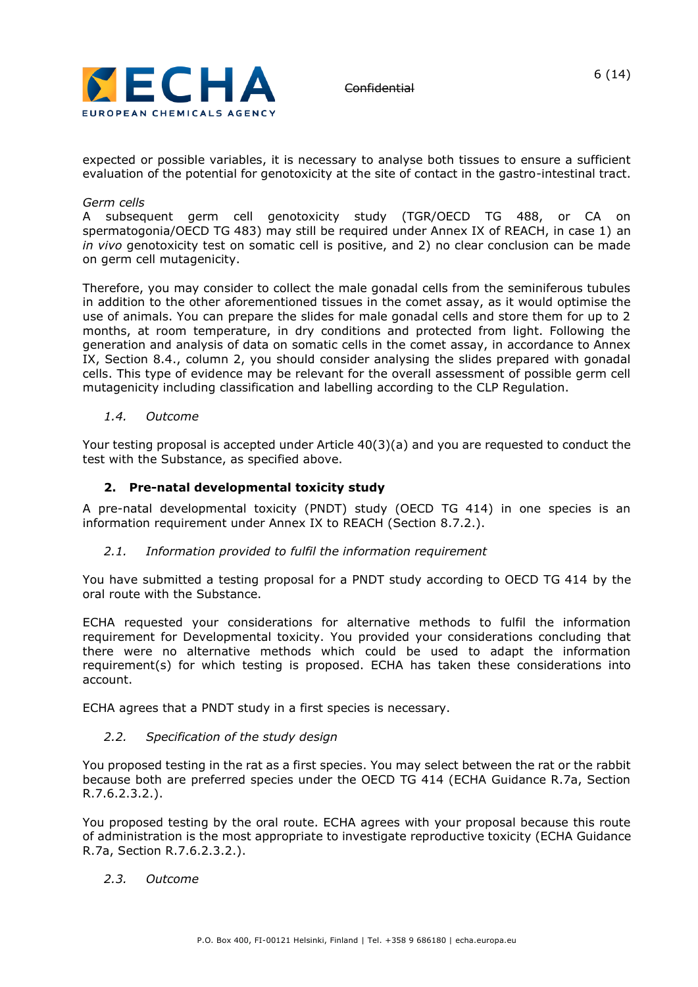

expected or possible variables, it is necessary to analyse both tissues to ensure a sufficient evaluation of the potential for genotoxicity at the site of contact in the gastro-intestinal tract.

### *Germ cells*

A subsequent germ cell genotoxicity study (TGR/OECD TG 488, or CA on spermatogonia/OECD TG 483) may still be required under Annex IX of REACH, in case 1) an *in vivo* genotoxicity test on somatic cell is positive, and 2) no clear conclusion can be made on germ cell mutagenicity.

Therefore, you may consider to collect the male gonadal cells from the seminiferous tubules in addition to the other aforementioned tissues in the comet assay, as it would optimise the use of animals. You can prepare the slides for male gonadal cells and store them for up to 2 months, at room temperature, in dry conditions and protected from light. Following the generation and analysis of data on somatic cells in the comet assay, in accordance to Annex IX, Section 8.4., column 2, you should consider analysing the slides prepared with gonadal cells. This type of evidence may be relevant for the overall assessment of possible germ cell mutagenicity including classification and labelling according to the CLP Regulation.

### *1.4. Outcome*

Your testing proposal is accepted under Article 40(3)(a) and you are requested to conduct the test with the Substance, as specified above.

## **2. Pre-natal developmental toxicity study**

A pre-natal developmental toxicity (PNDT) study (OECD TG 414) in one species is an information requirement under Annex IX to REACH (Section 8.7.2.).

### *2.1. Information provided to fulfil the information requirement*

You have submitted a testing proposal for a PNDT study according to OECD TG 414 by the oral route with the Substance.

ECHA requested your considerations for alternative methods to fulfil the information requirement for Developmental toxicity. You provided your considerations concluding that there were no alternative methods which could be used to adapt the information requirement(s) for which testing is proposed. ECHA has taken these considerations into account.

ECHA agrees that a PNDT study in a first species is necessary.

### *2.2. Specification of the study design*

You proposed testing in the rat as a first species. You may select between the rat or the rabbit because both are preferred species under the OECD TG 414 (ECHA Guidance R.7a, Section R.7.6.2.3.2.).

You proposed testing by the oral route. ECHA agrees with your proposal because this route of administration is the most appropriate to investigate reproductive toxicity (ECHA Guidance R.7a, Section R.7.6.2.3.2.).

### *2.3. Outcome*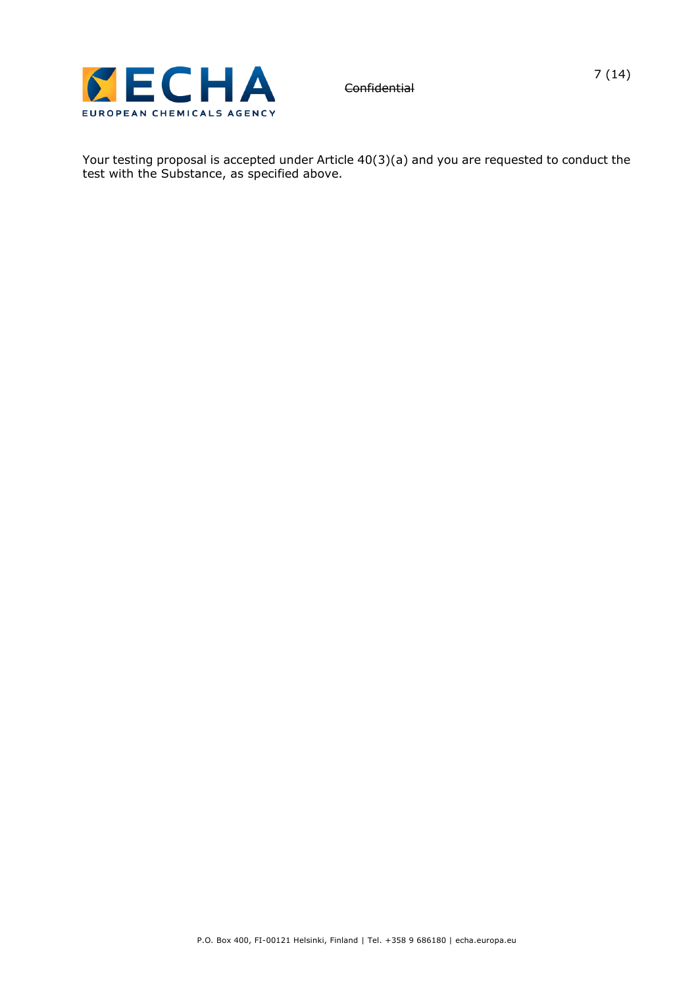

Your testing proposal is accepted under Article 40(3)(a) and you are requested to conduct the test with the Substance, as specified above.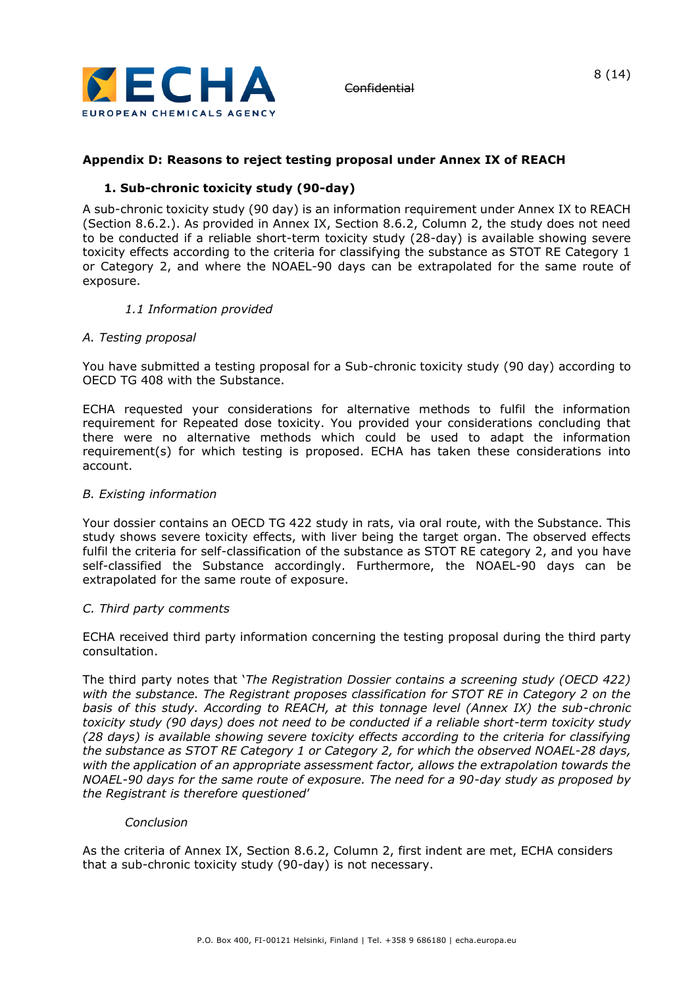

# **Appendix D: Reasons to reject testing proposal under Annex IX of REACH**

# **1. Sub-chronic toxicity study (90-day)**

A sub-chronic toxicity study (90 day) is an information requirement under Annex IX to REACH (Section 8.6.2.). As provided in Annex IX, Section 8.6.2, Column 2, the study does not need to be conducted if a reliable short-term toxicity study (28-day) is available showing severe toxicity effects according to the criteria for classifying the substance as STOT RE Category 1 or Category 2, and where the NOAEL-90 days can be extrapolated for the same route of exposure.

## *1.1 Information provided*

## *A. Testing proposal*

You have submitted a testing proposal for a Sub-chronic toxicity study (90 day) according to OECD TG 408 with the Substance.

ECHA requested your considerations for alternative methods to fulfil the information requirement for Repeated dose toxicity. You provided your considerations concluding that there were no alternative methods which could be used to adapt the information requirement(s) for which testing is proposed. ECHA has taken these considerations into account.

### *B. Existing information*

Your dossier contains an OECD TG 422 study in rats, via oral route, with the Substance. This study shows severe toxicity effects, with liver being the target organ. The observed effects fulfil the criteria for self-classification of the substance as STOT RE category 2, and you have self-classified the Substance accordingly. Furthermore, the NOAEL-90 days can be extrapolated for the same route of exposure.

### *C. Third party comments*

ECHA received third party information concerning the testing proposal during the third party consultation.

The third party notes that '*The Registration Dossier contains a screening study (OECD 422) with the substance. The Registrant proposes classification for STOT RE in Category 2 on the basis of this study. According to REACH, at this tonnage level (Annex IX) the sub-chronic toxicity study (90 days) does not need to be conducted if a reliable short-term toxicity study (28 days) is available showing severe toxicity effects according to the criteria for classifying the substance as STOT RE Category 1 or Category 2, for which the observed NOAEL-28 days, with the application of an appropriate assessment factor, allows the extrapolation towards the NOAEL-90 days for the same route of exposure. The need for a 90-day study as proposed by the Registrant is therefore questioned*'

### *Conclusion*

As the criteria of Annex IX, Section 8.6.2, Column 2, first indent are met, ECHA considers that a sub-chronic toxicity study (90-day) is not necessary.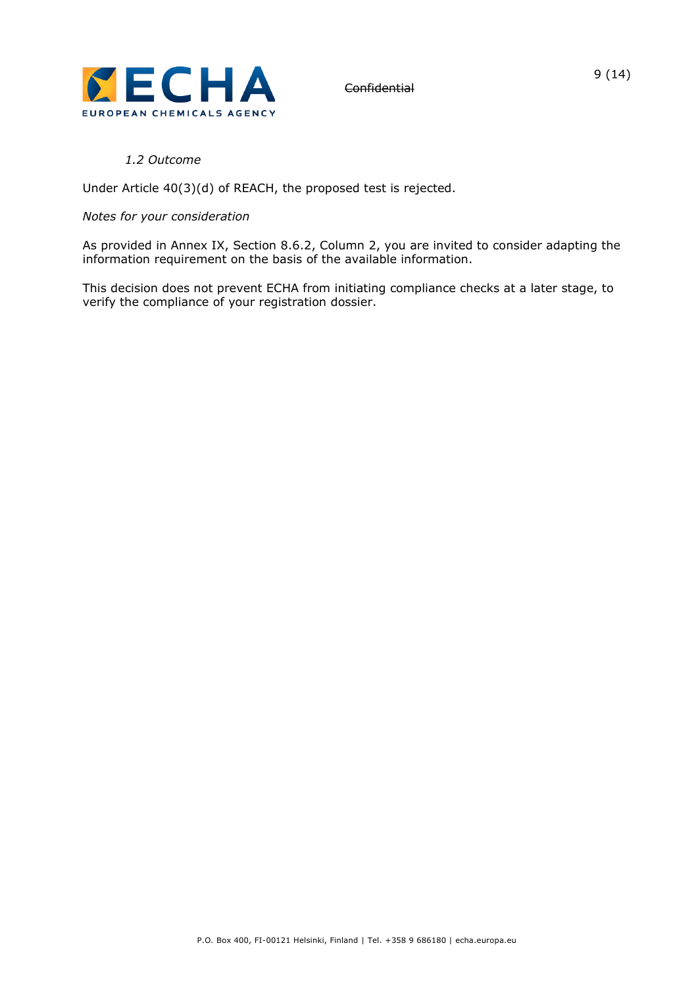

## *1.2 Outcome*

Under Article 40(3)(d) of REACH, the proposed test is rejected.

### *Notes for your consideration*

As provided in Annex IX, Section 8.6.2, Column 2, you are invited to consider adapting the information requirement on the basis of the available information.

This decision does not prevent ECHA from initiating compliance checks at a later stage, to verify the compliance of your registration dossier.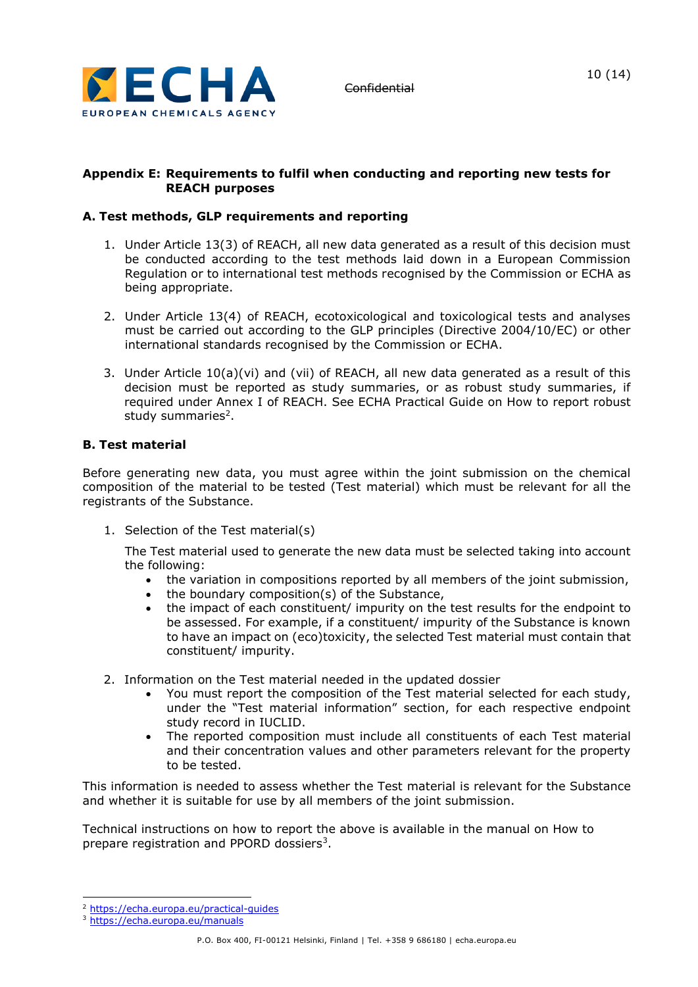

## **Appendix E: Requirements to fulfil when conducting and reporting new tests for REACH purposes**

# **A. Test methods, GLP requirements and reporting**

- 1. Under Article 13(3) of REACH, all new data generated as a result of this decision must be conducted according to the test methods laid down in a European Commission Regulation or to international test methods recognised by the Commission or ECHA as being appropriate.
- 2. Under Article 13(4) of REACH, ecotoxicological and toxicological tests and analyses must be carried out according to the GLP principles (Directive 2004/10/EC) or other international standards recognised by the Commission or ECHA.
- 3. Under Article 10(a)(vi) and (vii) of REACH, all new data generated as a result of this decision must be reported as study summaries, or as robust study summaries, if required under Annex I of REACH. See ECHA Practical Guide on How to report robust study summaries<sup>2</sup>.

## **B. Test material**

Before generating new data, you must agree within the joint submission on the chemical composition of the material to be tested (Test material) which must be relevant for all the registrants of the Substance.

1. Selection of the Test material(s)

The Test material used to generate the new data must be selected taking into account the following:

- the variation in compositions reported by all members of the joint submission,
- the boundary composition(s) of the Substance,
- the impact of each constituent/ impurity on the test results for the endpoint to be assessed. For example, if a constituent/ impurity of the Substance is known to have an impact on (eco)toxicity, the selected Test material must contain that constituent/ impurity.
- 2. Information on the Test material needed in the updated dossier
	- You must report the composition of the Test material selected for each study, under the "Test material information" section, for each respective endpoint study record in IUCLID.
	- The reported composition must include all constituents of each Test material and their concentration values and other parameters relevant for the property to be tested.

This information is needed to assess whether the Test material is relevant for the Substance and whether it is suitable for use by all members of the joint submission.

Technical instructions on how to report the above is available in the manual on How to prepare registration and PPORD dossiers<sup>3</sup>.

<sup>2</sup> <https://echa.europa.eu/practical-guides>

<sup>3</sup> <https://echa.europa.eu/manuals>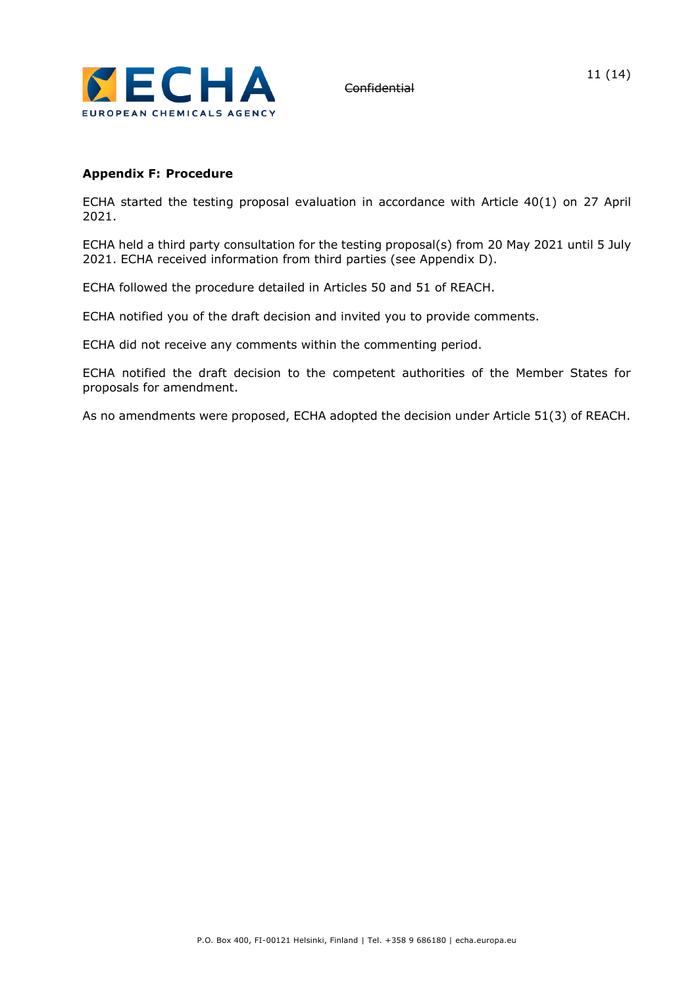

## **Appendix F: Procedure**

ECHA started the testing proposal evaluation in accordance with Article 40(1) on 27 April 2021.

ECHA held a third party consultation for the testing proposal(s) from 20 May 2021 until 5 July 2021. ECHA received information from third parties (see Appendix D).

ECHA followed the procedure detailed in Articles 50 and 51 of REACH.

ECHA notified you of the draft decision and invited you to provide comments.

ECHA did not receive any comments within the commenting period.

ECHA notified the draft decision to the competent authorities of the Member States for proposals for amendment.

As no amendments were proposed, ECHA adopted the decision under Article 51(3) of REACH.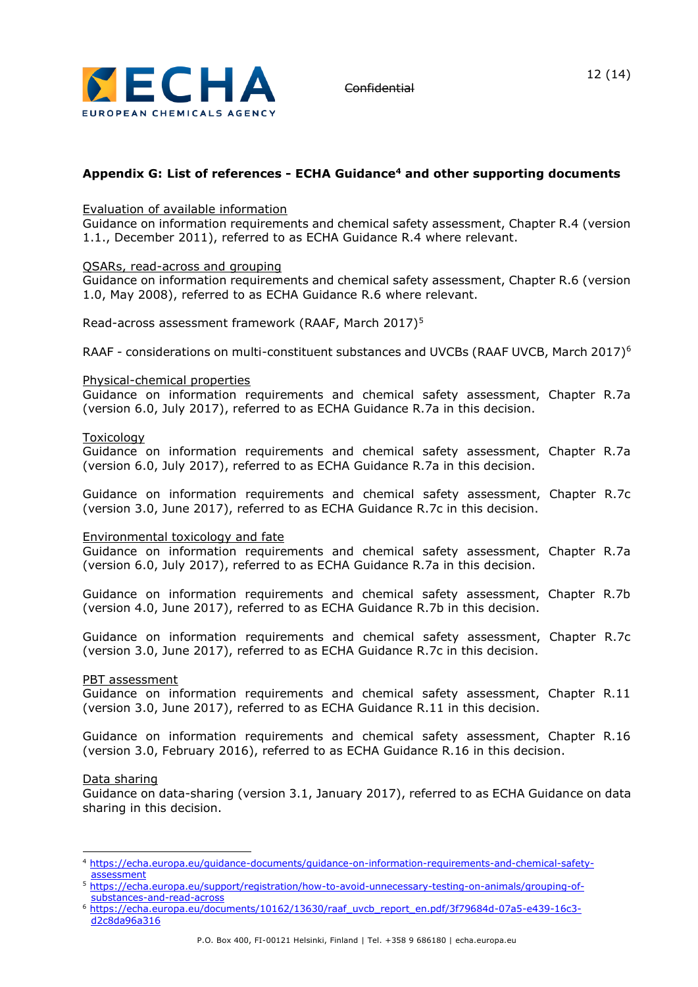

# **Appendix G: List of references - ECHA Guidance<sup>4</sup> and other supporting documents**

### Evaluation of available information

Guidance on information requirements and chemical safety assessment, Chapter R.4 (version 1.1., December 2011), referred to as ECHA Guidance R.4 where relevant.

### QSARs, read-across and grouping

Guidance on information requirements and chemical safety assessment, Chapter R.6 (version 1.0, May 2008), referred to as ECHA Guidance R.6 where relevant.

Read-across assessment framework (RAAF, March 2017)<sup>5</sup>

RAAF - considerations on multi-constituent substances and UVCBs (RAAF UVCB, March 2017)<sup>6</sup>

### Physical-chemical properties

Guidance on information requirements and chemical safety assessment, Chapter R.7a (version 6.0, July 2017), referred to as ECHA Guidance R.7a in this decision.

### Toxicology

Guidance on information requirements and chemical safety assessment, Chapter R.7a (version 6.0, July 2017), referred to as ECHA Guidance R.7a in this decision.

Guidance on information requirements and chemical safety assessment, Chapter R.7c (version 3.0, June 2017), referred to as ECHA Guidance R.7c in this decision.

### Environmental toxicology and fate

Guidance on information requirements and chemical safety assessment, Chapter R.7a (version 6.0, July 2017), referred to as ECHA Guidance R.7a in this decision.

Guidance on information requirements and chemical safety assessment, Chapter R.7b (version 4.0, June 2017), referred to as ECHA Guidance R.7b in this decision.

Guidance on information requirements and chemical safety assessment, Chapter R.7c (version 3.0, June 2017), referred to as ECHA Guidance R.7c in this decision.

### PBT assessment

Guidance on information requirements and chemical safety assessment, Chapter R.11 (version 3.0, June 2017), referred to as ECHA Guidance R.11 in this decision.

Guidance on information requirements and chemical safety assessment, Chapter R.16 (version 3.0, February 2016), referred to as ECHA Guidance R.16 in this decision.

### Data sharing

Guidance on data-sharing (version 3.1, January 2017), referred to as ECHA Guidance on data sharing in this decision.

<sup>4</sup> [https://echa.europa.eu/guidance-documents/guidance-on-information-requirements-and-chemical-safety](https://echa.europa.eu/guidance-documents/guidance-on-information-requirements-and-chemical-safety-assessment)[assessment](https://echa.europa.eu/guidance-documents/guidance-on-information-requirements-and-chemical-safety-assessment)

<sup>5</sup> [https://echa.europa.eu/support/registration/how-to-avoid-unnecessary-testing-on-animals/grouping-of](https://echa.europa.eu/support/registration/how-to-avoid-unnecessary-testing-on-animals/grouping-of-substances-and-read-across)[substances-and-read-across](https://echa.europa.eu/support/registration/how-to-avoid-unnecessary-testing-on-animals/grouping-of-substances-and-read-across)

<sup>6</sup> [https://echa.europa.eu/documents/10162/13630/raaf\\_uvcb\\_report\\_en.pdf/3f79684d-07a5-e439-16c3](https://echa.europa.eu/documents/10162/13630/raaf_uvcb_report_en.pdf/3f79684d-07a5-e439-16c3-d2c8da96a316) [d2c8da96a316](https://echa.europa.eu/documents/10162/13630/raaf_uvcb_report_en.pdf/3f79684d-07a5-e439-16c3-d2c8da96a316)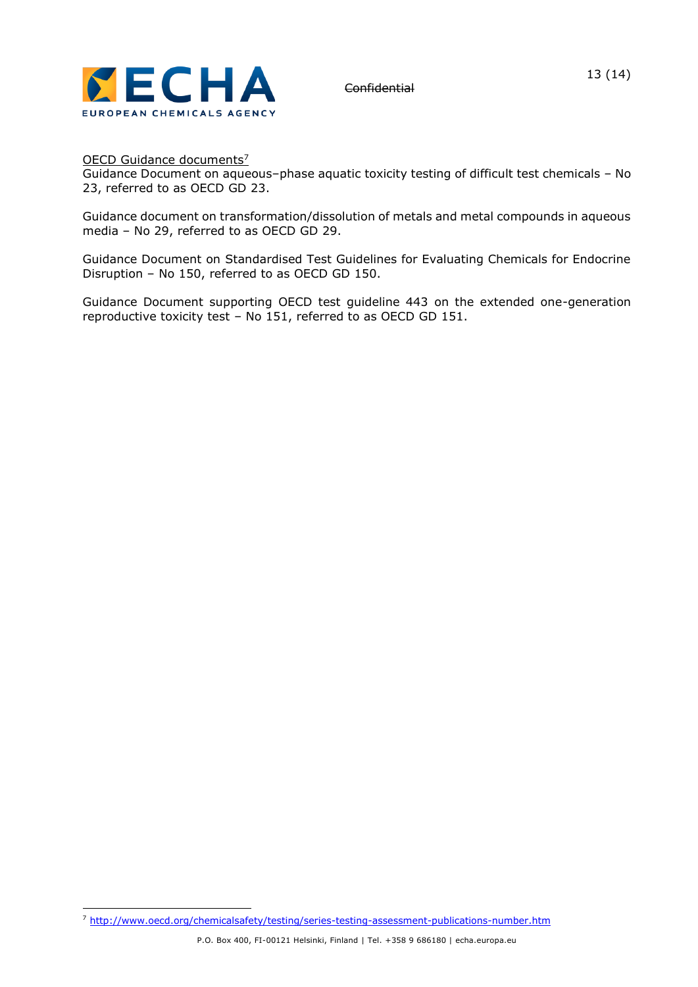

OECD Guidance documents<sup>7</sup>

Guidance Document on aqueous–phase aquatic toxicity testing of difficult test chemicals – No 23, referred to as OECD GD 23.

Guidance document on transformation/dissolution of metals and metal compounds in aqueous media – No 29, referred to as OECD GD 29.

Guidance Document on Standardised Test Guidelines for Evaluating Chemicals for Endocrine Disruption – No 150, referred to as OECD GD 150.

Guidance Document supporting OECD test guideline 443 on the extended one-generation reproductive toxicity test – No 151, referred to as OECD GD 151.

<sup>7</sup> <http://www.oecd.org/chemicalsafety/testing/series-testing-assessment-publications-number.htm>